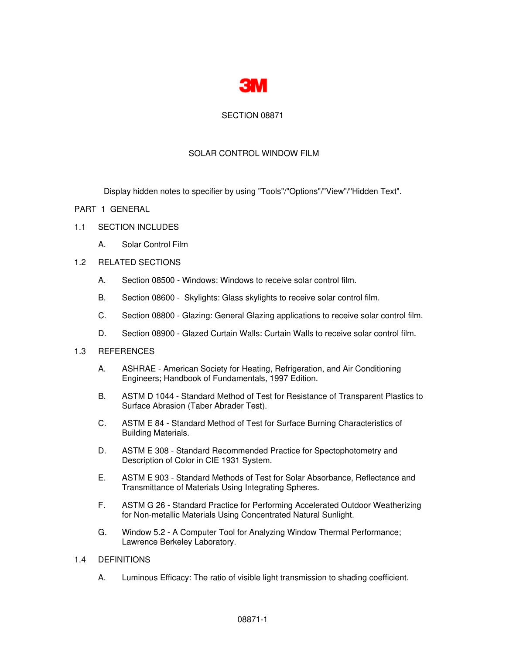

## SECTION 08871

## SOLAR CONTROL WINDOW FILM

Display hidden notes to specifier by using "Tools"/"Options"/"View"/"Hidden Text".

## PART 1 GENERAL

### 1.1 SECTION INCLUDES

A. Solar Control Film

### 1.2 RELATED SECTIONS

- A. Section 08500 Windows: Windows to receive solar control film.
- B. Section 08600 Skylights: Glass skylights to receive solar control film.
- C. Section 08800 Glazing: General Glazing applications to receive solar control film.
- D. Section 08900 Glazed Curtain Walls: Curtain Walls to receive solar control film.

### 1.3 REFERENCES

- A. ASHRAE American Society for Heating, Refrigeration, and Air Conditioning Engineers; Handbook of Fundamentals, 1997 Edition.
- B. ASTM D 1044 Standard Method of Test for Resistance of Transparent Plastics to Surface Abrasion (Taber Abrader Test).
- C. ASTM E 84 Standard Method of Test for Surface Burning Characteristics of Building Materials.
- D. ASTM E 308 Standard Recommended Practice for Spectophotometry and Description of Color in CIE 1931 System.
- E. ASTM E 903 Standard Methods of Test for Solar Absorbance, Reflectance and Transmittance of Materials Using Integrating Spheres.
- F. ASTM G 26 Standard Practice for Performing Accelerated Outdoor Weatherizing for Non-metallic Materials Using Concentrated Natural Sunlight.
- G. Window 5.2 A Computer Tool for Analyzing Window Thermal Performance; Lawrence Berkeley Laboratory.

## 1.4 DEFINITIONS

A. Luminous Efficacy: The ratio of visible light transmission to shading coefficient.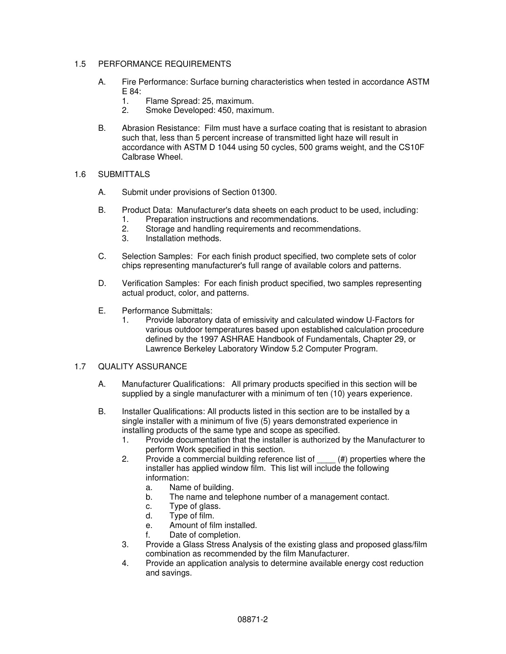## 1.5 PERFORMANCE REQUIREMENTS

- A. Fire Performance: Surface burning characteristics when tested in accordance ASTM E 84:
	- 1. Flame Spread: 25, maximum.<br>2. Smoke Developed: 450. maxir
	- Smoke Developed: 450, maximum.
- B. Abrasion Resistance: Film must have a surface coating that is resistant to abrasion such that, less than 5 percent increase of transmitted light haze will result in accordance with ASTM D 1044 using 50 cycles, 500 grams weight, and the CS10F Calbrase Wheel.

## 1.6 SUBMITTALS

- A. Submit under provisions of Section 01300.
- B. Product Data: Manufacturer's data sheets on each product to be used, including:
	- 1. Preparation instructions and recommendations.
	- 2. Storage and handling requirements and recommendations.
	- 3. Installation methods.
- C. Selection Samples: For each finish product specified, two complete sets of color chips representing manufacturer's full range of available colors and patterns.
- D. Verification Samples: For each finish product specified, two samples representing actual product, color, and patterns.
- E. Performance Submittals:
	- 1. Provide laboratory data of emissivity and calculated window U-Factors for various outdoor temperatures based upon established calculation procedure defined by the 1997 ASHRAE Handbook of Fundamentals, Chapter 29, or Lawrence Berkeley Laboratory Window 5.2 Computer Program.

## 1.7 QUALITY ASSURANCE

- A. Manufacturer Qualifications: All primary products specified in this section will be supplied by a single manufacturer with a minimum of ten (10) years experience.
- B. Installer Qualifications: All products listed in this section are to be installed by a single installer with a minimum of five (5) years demonstrated experience in installing products of the same type and scope as specified.
	- 1. Provide documentation that the installer is authorized by the Manufacturer to perform Work specified in this section.
	- 2. Provide a commercial building reference list of \_\_\_\_ (#) properties where the installer has applied window film. This list will include the following information:
		- a. Name of building.
		- b. The name and telephone number of a management contact.
		- c. Type of glass.
		- d. Type of film.
		- e. Amount of film installed.
		- f. Date of completion.
	- 3. Provide a Glass Stress Analysis of the existing glass and proposed glass/film combination as recommended by the film Manufacturer.
	- 4. Provide an application analysis to determine available energy cost reduction and savings.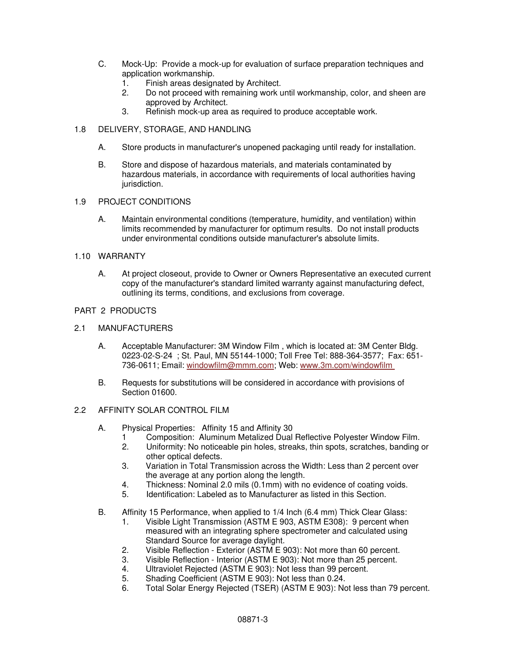- C. Mock-Up: Provide a mock-up for evaluation of surface preparation techniques and application workmanship.
	- 1. Finish areas designated by Architect.
	- 2. Do not proceed with remaining work until workmanship, color, and sheen are approved by Architect.
	- 3. Refinish mock-up area as required to produce acceptable work.
- 1.8 DELIVERY, STORAGE, AND HANDLING
	- A. Store products in manufacturer's unopened packaging until ready for installation.
	- B. Store and dispose of hazardous materials, and materials contaminated by hazardous materials, in accordance with requirements of local authorities having jurisdiction.
- 1.9 PROJECT CONDITIONS
	- A. Maintain environmental conditions (temperature, humidity, and ventilation) within limits recommended by manufacturer for optimum results. Do not install products under environmental conditions outside manufacturer's absolute limits.

### 1.10 WARRANTY

A. At project closeout, provide to Owner or Owners Representative an executed current copy of the manufacturer's standard limited warranty against manufacturing defect, outlining its terms, conditions, and exclusions from coverage.

## PART 2 PRODUCTS

- 2.1 MANUFACTURERS
	- A. Acceptable Manufacturer: 3M Window Film , which is located at: 3M Center Bldg. 0223-02-S-24 ; St. Paul, MN 55144-1000; Toll Free Tel: 888-364-3577; Fax: 651- 736-0611; Email: windowfilm@mmm.com; Web: www.3m.com/windowfilm
	- B. Requests for substitutions will be considered in accordance with provisions of Section 01600.

### 2.2 AFFINITY SOLAR CONTROL FILM

- A. Physical Properties: Affinity 15 and Affinity 30
	- 1 Composition: Aluminum Metalized Dual Reflective Polyester Window Film.
	- 2. Uniformity: No noticeable pin holes, streaks, thin spots, scratches, banding or other optical defects.
	- 3. Variation in Total Transmission across the Width: Less than 2 percent over the average at any portion along the length.
	- 4. Thickness: Nominal 2.0 mils (0.1mm) with no evidence of coating voids.
	- 5. Identification: Labeled as to Manufacturer as listed in this Section.
- B. Affinity 15 Performance, when applied to 1/4 Inch (6.4 mm) Thick Clear Glass:
	- 1. Visible Light Transmission (ASTM E 903, ASTM E308): 9 percent when measured with an integrating sphere spectrometer and calculated using Standard Source for average daylight.
	- 2. Visible Reflection Exterior (ASTM E 903): Not more than 60 percent.
	- 3. Visible Reflection Interior (ASTM E 903): Not more than 25 percent.
	- 4. Ultraviolet Rejected (ASTM E 903): Not less than 99 percent.
	- 5. Shading Coefficient (ASTM E 903): Not less than 0.24.
	- 6. Total Solar Energy Rejected (TSER) (ASTM E 903): Not less than 79 percent.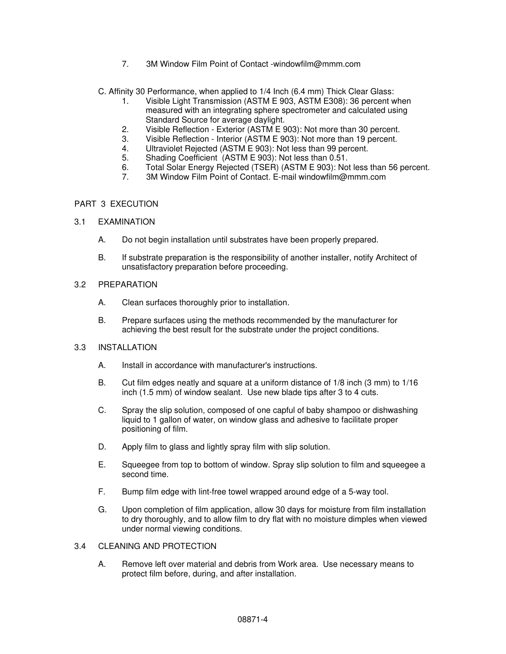7. 3M Window Film Point of Contact -windowfilm@mmm.com

C. Affinity 30 Performance, when applied to 1/4 Inch (6.4 mm) Thick Clear Glass:

- 1. Visible Light Transmission (ASTM E 903, ASTM E308): 36 percent when measured with an integrating sphere spectrometer and calculated using Standard Source for average daylight.
- 2. Visible Reflection Exterior (ASTM E 903): Not more than 30 percent.
- 3. Visible Reflection Interior (ASTM E 903): Not more than 19 percent.
- 4. Ultraviolet Rejected (ASTM E 903): Not less than 99 percent.
- 5. Shading Coefficient (ASTM E 903): Not less than 0.51.
- 6. Total Solar Energy Rejected (TSER) (ASTM E 903): Not less than 56 percent.
- 7. 3M Window Film Point of Contact. E-mail windowfilm@mmm.com

## PART 3 EXECUTION

- 3.1 EXAMINATION
	- A. Do not begin installation until substrates have been properly prepared.
	- B. If substrate preparation is the responsibility of another installer, notify Architect of unsatisfactory preparation before proceeding.

### 3.2 PREPARATION

- A. Clean surfaces thoroughly prior to installation.
- B. Prepare surfaces using the methods recommended by the manufacturer for achieving the best result for the substrate under the project conditions.

### 3.3 INSTALLATION

- A. Install in accordance with manufacturer's instructions.
- B. Cut film edges neatly and square at a uniform distance of 1/8 inch (3 mm) to 1/16 inch (1.5 mm) of window sealant. Use new blade tips after 3 to 4 cuts.
- C. Spray the slip solution, composed of one capful of baby shampoo or dishwashing liquid to 1 gallon of water, on window glass and adhesive to facilitate proper positioning of film.
- D. Apply film to glass and lightly spray film with slip solution.
- E. Squeegee from top to bottom of window. Spray slip solution to film and squeegee a second time.
- F. Bump film edge with lint-free towel wrapped around edge of a 5-way tool.
- G. Upon completion of film application, allow 30 days for moisture from film installation to dry thoroughly, and to allow film to dry flat with no moisture dimples when viewed under normal viewing conditions.

## 3.4 CLEANING AND PROTECTION

A. Remove left over material and debris from Work area. Use necessary means to protect film before, during, and after installation.